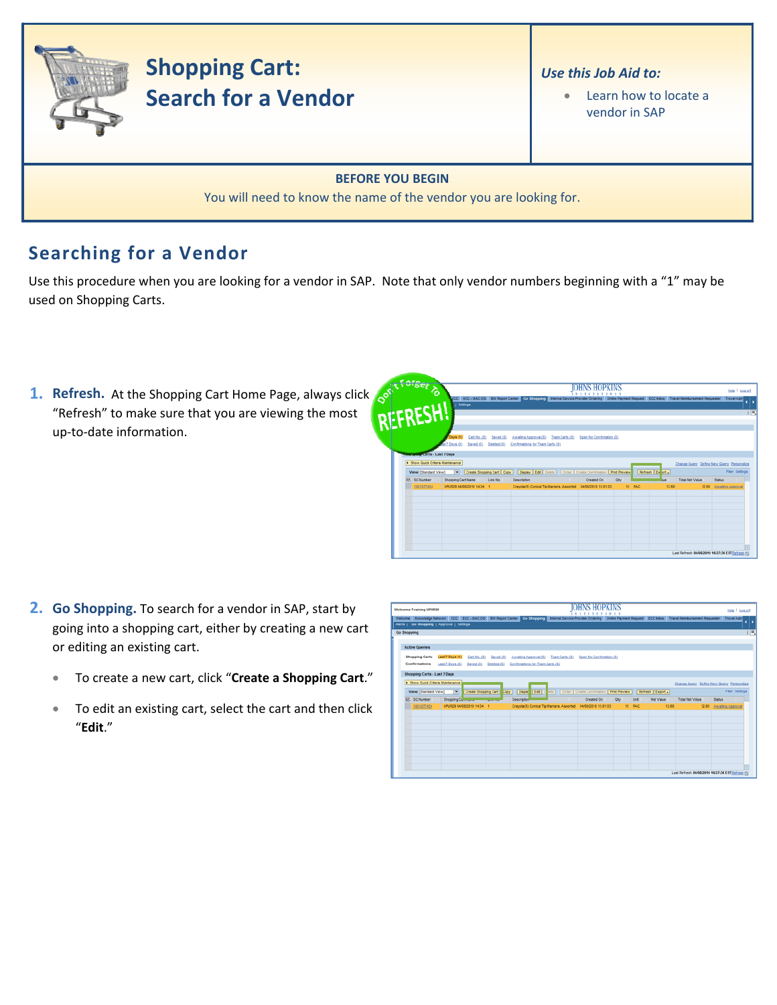

## **Searching for a Vendor**

Use this procedure when you are looking for a vendor in SAP. Note that only vendor numbers beginning with a "1" may be used on Shopping Carts.

**1. Refresh.** At the Shopping Cart Home Page, always click "Refresh" to make sure that you are viewing the most up‐to‐date information.

| <b>Acting</b>                                   |                           |                           |             |                                  | IOHNS HOP                                                      |            |        |                  |                                                                                                                                                             | Help   Log.off         |
|-------------------------------------------------|---------------------------|---------------------------|-------------|----------------------------------|----------------------------------------------------------------|------------|--------|------------------|-------------------------------------------------------------------------------------------------------------------------------------------------------------|------------------------|
| REFRESH                                         |                           |                           |             |                                  |                                                                |            |        |                  | ECC ECC - MAC OS BW Report Center Go Shopping Internal Service Provider Ordering Online Payment Request ECC Inbox Travel Reinbursement Requester Travel Adm |                        |
|                                                 | Settings                  |                           |             |                                  |                                                                |            |        |                  |                                                                                                                                                             |                        |
|                                                 |                           |                           |             |                                  |                                                                |            |        |                  |                                                                                                                                                             |                        |
|                                                 |                           |                           |             |                                  |                                                                |            |        |                  |                                                                                                                                                             |                        |
|                                                 |                           |                           |             |                                  |                                                                |            |        |                  |                                                                                                                                                             |                        |
|                                                 | Days (1)                  | Cart No. (0)              | Saved (9)   |                                  | Awaling Approval (0) Team Carts (0) Open for Confirmation (0)  |            |        |                  |                                                                                                                                                             |                        |
|                                                 | 17 Days (0)               | Seved (9)                 | Deteted (Q) | Confirmations for Team Carts (0) |                                                                |            |        |                  |                                                                                                                                                             |                        |
| <b><i>International Carts - Last 7 Days</i></b> |                           |                           |             |                                  |                                                                |            |        |                  |                                                                                                                                                             |                        |
| > Show Quick Criteria Maintenance               |                           |                           |             |                                  |                                                                |            |        |                  | Change Query Define New Query Personalize                                                                                                                   |                        |
| View [Standard View]                            |                           | Create Shopping Cart Copy |             |                                  | Display Edt Delete   Order Create Confirmation   Print Preview |            |        | Refresh Ex ort a |                                                                                                                                                             | <b>Fiter Settings</b>  |
| <b>ER</b> SC Number                             | <b>Shopping Cart Name</b> | Line No.                  |             | <b>Description</b>               | Created On                                                     | <b>Chy</b> |        |                  | <b>Total Net Value</b>                                                                                                                                      | <b>Status</b>          |
| 1001077454                                      | UPUR29 04/08/2010 14:34 1 |                           |             |                                  | Crayola(R) Conical Tip Markers, Assorted 04/08/2010 15:01:03   |            | 15 PAC | 12.60            |                                                                                                                                                             | 12.60 Awaling Approval |
|                                                 |                           |                           |             |                                  |                                                                |            |        |                  |                                                                                                                                                             |                        |
|                                                 |                           |                           |             |                                  |                                                                |            |        |                  |                                                                                                                                                             |                        |
|                                                 |                           |                           |             |                                  |                                                                |            |        |                  |                                                                                                                                                             |                        |
|                                                 |                           |                           |             |                                  |                                                                |            |        |                  |                                                                                                                                                             |                        |
|                                                 |                           |                           |             |                                  |                                                                |            |        |                  |                                                                                                                                                             |                        |
|                                                 |                           |                           |             |                                  |                                                                |            |        |                  |                                                                                                                                                             |                        |
|                                                 |                           |                           |             |                                  |                                                                |            |        |                  |                                                                                                                                                             |                        |
|                                                 |                           |                           |             |                                  |                                                                |            |        |                  |                                                                                                                                                             |                        |

- **2. Go Shopping.** To search for a vendor in SAP, start by going into a shopping cart, either by creating a new cart or editing an existing cart.
	- To create a new cart, click "**Create a Shopping Cart**."
	- To edit an existing cart, select the cart and then click "**Edit**."

| <b>Welcome Training UPUR29</b>              |                                                                                                                                                                                      |                                                                                       |             | <b>NEW YEAR</b>                                                         |     |        |                  |                                           | Help   Log.off         |
|---------------------------------------------|--------------------------------------------------------------------------------------------------------------------------------------------------------------------------------------|---------------------------------------------------------------------------------------|-------------|-------------------------------------------------------------------------|-----|--------|------------------|-------------------------------------------|------------------------|
| Alerts   Go Shopping   Approval   Settings  | Welcome Knowledge Network ECC ECC - MACOS BW Report Center Go Shopping Internal Service Provider Ordering Online Payment Request ECC Inbox Travel Reimbursement Request Fire Company |                                                                                       |             |                                                                         |     |        |                  |                                           |                        |
| Go Shopping                                 |                                                                                                                                                                                      |                                                                                       |             |                                                                         |     |        |                  |                                           |                        |
| <b>Active Queries</b>                       |                                                                                                                                                                                      |                                                                                       |             |                                                                         |     |        |                  |                                           |                        |
| <b>Shopping Carts</b><br>Confirmations      | Last 7 Days (1)<br>Last 7 Days (0) Saved (0) Deleted (0) Confirmations for Team Carts (0)                                                                                            | Cart No. (0) Saved (0) Awalting Approval (0) Team Carts (0) Open for Confirmation (0) |             |                                                                         |     |        |                  |                                           |                        |
| Shopping Carts - Last 7 Days                |                                                                                                                                                                                      |                                                                                       |             |                                                                         |     |        |                  |                                           |                        |
|                                             |                                                                                                                                                                                      |                                                                                       |             |                                                                         |     |        |                  |                                           |                        |
| <b>&gt; Show Quick Criteria Maintenance</b> |                                                                                                                                                                                      |                                                                                       |             |                                                                         |     |        |                  | Change Query Define New Query Personalize |                        |
| View [Standard View]                        | $\overline{r}$<br>Create Shopping Cart                                                                                                                                               | Copy                                                                                  |             | Display   Edit   Cliebe     Order   Create Confirmation   Print Preview |     |        | Refresh Export a |                                           | <b>Fiber Settings</b>  |
| EB SC Number                                | Shopping Community                                                                                                                                                                   |                                                                                       | Description | Created On                                                              | Oby | Unit   | Net Value        | <b>Total Net Value</b>                    | <b>Status</b>          |
| 1001077454                                  | UPUR29 04/08/2010 14:34 1                                                                                                                                                            |                                                                                       |             | Crayola(R) Conical Tip Markers, Assorted   04/08/2010 15:01:03          |     | 15 PAC | 12.60            |                                           | 12.60 Ameling Approval |
|                                             |                                                                                                                                                                                      |                                                                                       |             |                                                                         |     |        |                  |                                           |                        |
|                                             |                                                                                                                                                                                      |                                                                                       |             |                                                                         |     |        |                  |                                           |                        |
|                                             |                                                                                                                                                                                      |                                                                                       |             |                                                                         |     |        |                  |                                           |                        |
|                                             |                                                                                                                                                                                      |                                                                                       |             |                                                                         |     |        |                  |                                           |                        |
|                                             |                                                                                                                                                                                      |                                                                                       |             |                                                                         |     |        |                  |                                           |                        |
|                                             |                                                                                                                                                                                      |                                                                                       |             |                                                                         |     |        |                  |                                           |                        |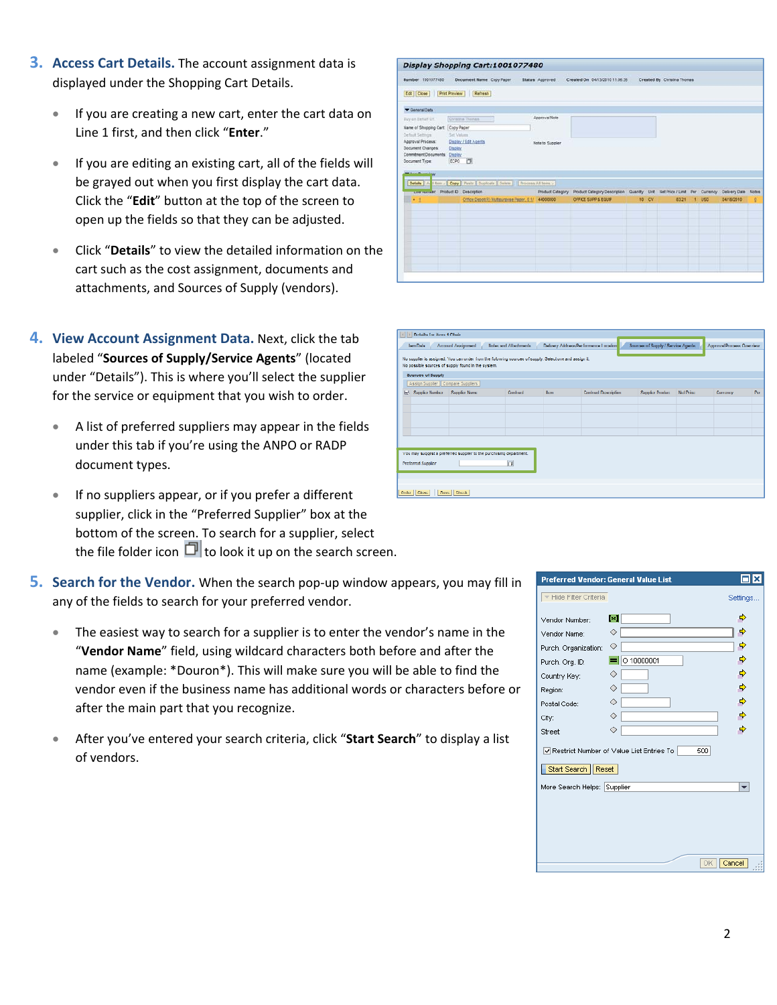- **3. Access Cart Details.** The account assignment data is displayed under the Shopping Cart Details.
	- If you are creating a new cart, enter the cart data on Line 1 first, and then click "**Enter**."
	- If you are editing an existing cart, all of the fields will be grayed out when you first display the cart data. Click the "**Edit**" button at the top of the screen to open up the fields so that they can be adjusted.
	- Click "**Details**" to view the detailed information on the cart such as the cost assignment, documents and attachments, and Sources of Supply (vendors).
- **4. View Account Assignment Data.** Next, click the tab labeled "**Sources of Supply/Service Agents**" (located under "Details"). This is where you'll select the supplier for the service or equipment that you wish to order.
	- A list of preferred suppliers may appear in the fields under this tab if you're using the ANPO or RADP document types.
	- If no suppliers appear, or if you prefer a different supplier, click in the "Preferred Supplier" box at the bottom of the screen. To search for a supplier, select the file folder icon  $\Box$  to look it up on the search screen.
- **5.** Search for the Vendor. When the search pop-up window appears, you may fill in any of the fields to search for your preferred vendor.
	- vendor even if the business name has additional words or characters before or The easiest way to search for a supplier is to enter the vendor's name in the "**Vendor Name**" field, using wildcard characters both before and after the name (example: \*Douron\*). This will make sure you will be able to find the after the main part that you recognize.
	- After you've entered your search criteria, click "**Start Search**" to display a list of vendors.

|                                                                                                                                                                                                            | Display Shopping Cart:1001077480                                                                                                                                 |                                   |                                                                                               |    |           |                             |     |            |   |
|------------------------------------------------------------------------------------------------------------------------------------------------------------------------------------------------------------|------------------------------------------------------------------------------------------------------------------------------------------------------------------|-----------------------------------|-----------------------------------------------------------------------------------------------|----|-----------|-----------------------------|-----|------------|---|
| Number 1001077480                                                                                                                                                                                          | <b>Document Name</b> Copy Paper                                                                                                                                  | Status Approved                   | Created On 04/13/2010 11:06:35                                                                |    |           | Created By Christina Thomas |     |            |   |
| <b>Print Preview</b><br>Edit   Close                                                                                                                                                                       | <b>Refresh</b>                                                                                                                                                   |                                   |                                                                                               |    |           |                             |     |            |   |
| Canaral Data                                                                                                                                                                                               |                                                                                                                                                                  |                                   |                                                                                               |    |           |                             |     |            |   |
| Buy on Behalf Of:<br>Name of Shopping Cart. Copy Paper<br>Default Settings<br>Approval Process:<br><b>Decument Changes:</b><br>Commitment Documents: Display<br>Document Type:<br><b>W Best Pluering</b> w | Chratne Thomas<br>Set Values<br><b>Display / Edit Agents</b><br>Display<br>ECPO IO<br>Detain   A Hem .   Copy   Paste   Duplicate   Delete     Process Al Tema . | Approval Note<br>Note to Supplier |                                                                                               |    |           |                             |     |            |   |
| Live number. Product D. Description.                                                                                                                                                                       |                                                                                                                                                                  | Product Category                  | Product Category Description Cuantity Unit Net Price / Limit Per Currency Delivery Date Notes |    |           |                             |     |            |   |
| $-1$                                                                                                                                                                                                       | Office Depot(R) Multourpose Paper, 6 1/                                                                                                                          | 44000000                          | OFFICE SUPP & EQUIP                                                                           | 10 | <b>CV</b> | 83.21                       | U5D | 04/15/2010 | Q |
|                                                                                                                                                                                                            |                                                                                                                                                                  |                                   |                                                                                               |    |           |                             |     |            |   |
|                                                                                                                                                                                                            |                                                                                                                                                                  |                                   |                                                                                               |    |           |                             |     |            |   |
|                                                                                                                                                                                                            |                                                                                                                                                                  |                                   |                                                                                               |    |           |                             |     |            |   |
|                                                                                                                                                                                                            |                                                                                                                                                                  |                                   |                                                                                               |    |           |                             |     |            |   |
|                                                                                                                                                                                                            |                                                                                                                                                                  |                                   |                                                                                               |    |           |                             |     |            |   |

| Chair Thofails for item 4 Chair   |                                                                                                                                                             |                         |             |                                       |                                     |                   |                           |            |
|-----------------------------------|-------------------------------------------------------------------------------------------------------------------------------------------------------------|-------------------------|-------------|---------------------------------------|-------------------------------------|-------------------|---------------------------|------------|
| <b>Tem Dalar</b>                  | Inemployed Imaged                                                                                                                                           | Notes and Albertonents. |             | Delivery Address/Performance Location | Sourcise of Supply / Service Agents |                   | Approval Process Overview |            |
|                                   | No suppler is assigned. You can order from the following sources of supply. Selections and assign it.<br>No possible sources of supply found in the system. |                         |             |                                       |                                     |                   |                           |            |
| Sources of Supply                 |                                                                                                                                                             |                         |             |                                       |                                     |                   |                           |            |
| Assign Supplier Compare Suppliers |                                                                                                                                                             |                         |             |                                       |                                     |                   |                           |            |
| EN Supplies Number                | Supplies Nome:                                                                                                                                              | Contract                | <b>Bern</b> | <b>Contract Description</b>           | Supplier Product                    | <b>Nel Prince</b> | Синопер                   | <b>Bar</b> |
|                                   |                                                                                                                                                             |                         |             |                                       |                                     |                   |                           |            |
|                                   |                                                                                                                                                             |                         |             |                                       |                                     |                   |                           |            |
|                                   |                                                                                                                                                             |                         |             |                                       |                                     |                   |                           |            |
|                                   |                                                                                                                                                             |                         |             |                                       |                                     |                   |                           |            |
|                                   |                                                                                                                                                             |                         |             |                                       |                                     |                   |                           |            |
|                                   |                                                                                                                                                             |                         |             |                                       |                                     |                   |                           |            |
|                                   | You may suggest a preferred supplier to the purchasing department.                                                                                          |                         |             |                                       |                                     |                   |                           |            |
| <b>Preferred Sunnler</b>          |                                                                                                                                                             | <b>Ind</b>              |             |                                       |                                     |                   |                           |            |
|                                   |                                                                                                                                                             |                         |             |                                       |                                     |                   |                           |            |
|                                   |                                                                                                                                                             |                         |             |                                       |                                     |                   |                           |            |
| Order   Close                     | Save   Check                                                                                                                                                |                         |             |                                       |                                     |                   |                           |            |

|                             | Preferred Vendor: General Value List                                                                            |                          |
|-----------------------------|-----------------------------------------------------------------------------------------------------------------|--------------------------|
| Hide Filter Criteria        |                                                                                                                 | Settings.                |
| Vendor Number:              | l×1                                                                                                             | ¢                        |
| Vendor Name:                | ◇                                                                                                               | ⇨                        |
| Purch. Organization:        | ◇                                                                                                               |                          |
| Purch. Org. ID:             | $=$ 0 10000001                                                                                                  | ⇨                        |
| Country Key:                | ♦                                                                                                               | ф                        |
| Region:                     | ◇                                                                                                               | $\Rightarrow$            |
| Postal Code:                | ◇                                                                                                               | $\Rightarrow$            |
| City:                       | ◇                                                                                                               | $\Rightarrow$            |
| Street:                     | ◇                                                                                                               | ф                        |
|                             | $\overline{\blacktriangledown}$ Restrict Number of Value List Entries To $\overline{\blacktriangledown}$<br>500 |                          |
|                             |                                                                                                                 |                          |
| Start Search   Reset        |                                                                                                                 |                          |
| More Search Helps: Supplier |                                                                                                                 | $\overline{\phantom{a}}$ |
|                             |                                                                                                                 |                          |
|                             |                                                                                                                 |                          |
|                             |                                                                                                                 |                          |
|                             |                                                                                                                 |                          |
|                             |                                                                                                                 |                          |